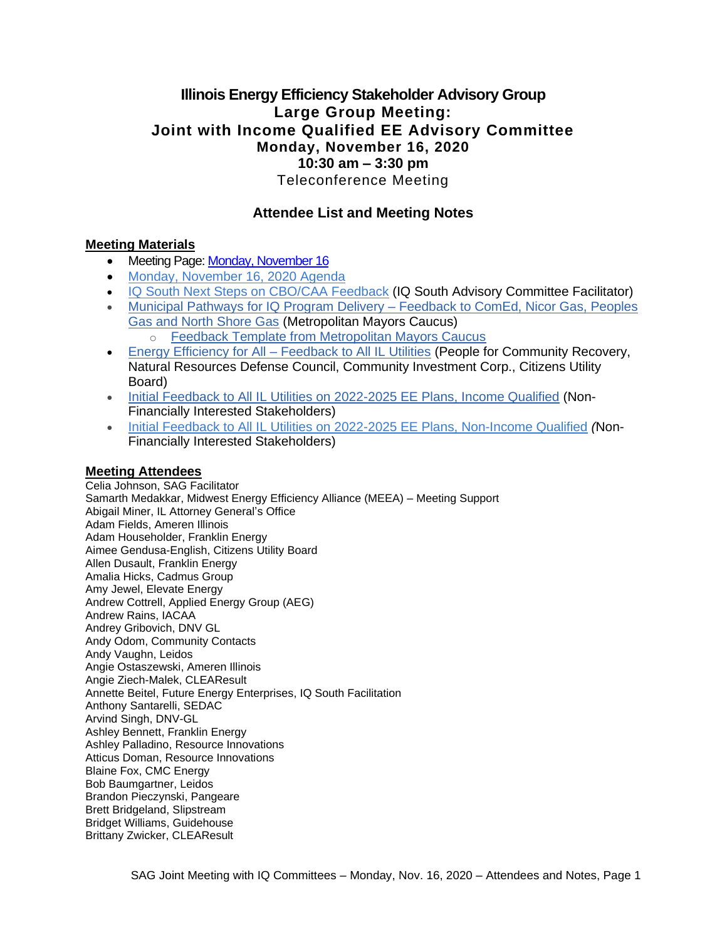## **Illinois Energy Efficiency Stakeholder Advisory Group Large Group Meeting: Joint with Income Qualified EE Advisory Committee Monday, November 16, 2020 10:30 am – 3:30 pm** Teleconference Meeting

## **Attendee List and Meeting Notes**

#### **Meeting Materials**

- Meeting Page: [Monday, November 16](https://www.ilsag.info/event/monday-november-16-sag-meeting/)
- [Monday, November 16, 2020 Agenda](https://ilsag.s3.amazonaws.com/IL-EE-SAG_Joint_IQ_Committee_Meeting_Mon-Nov-16-2020_Agenda_Final.pdf)
- [IQ South Next Steps on CBO/CAA Feedback](https://ilsag.s3.amazonaws.com/SAG-Presentation_IQ-South-Next-Steps_11-16-2020.pdf) (IQ South Advisory Committee Facilitator)
- [Municipal Pathways for IQ Program Delivery –](https://ilsag.s3.amazonaws.com/MMC-IQ-Portfolio-Feedback_Nov-2020.pdf) Feedback to ComEd, Nicor Gas, Peoples [Gas and North Shore Gas](https://ilsag.s3.amazonaws.com/MMC-IQ-Portfolio-Feedback_Nov-2020.pdf) (Metropolitan Mayors Caucus) o [Feedback Template from Metropolitan Mayors Caucus](https://ilsag.s3.amazonaws.com/2020-SAG-Portfolio-Planning-Process_Feedback-Metropolitan-Mayors-Caucus_FINAL.pdf)
- Energy Efficiency for All [Feedback to All IL Utilities](https://ilsag.s3.amazonaws.com/IL-EEFA-IQ-MF-Feedback_SAG_IQ_11-16-2020-Meeting.pdf) (People for Community Recovery, Natural Resources Defense Council, Community Investment Corp., Citizens Utility Board)
- [Initial Feedback to All IL Utilities on 2022-2025 EE Plans, Income Qualified](https://ilsag.s3.amazonaws.com/IQ-Initial-Feedback-to-IL-Utilities_NFI-Stakeholders-11-16-2020.pdf) (Non-Financially Interested Stakeholders)
- [Initial Feedback to All IL Utilities on 2022-2025 EE Plans, Non-Income Qualified](https://ilsag.s3.amazonaws.com/Initial-Feedback-to-IL-Utilities-on-Non-IQ-2022-2025-Portfolios_NFI-Stakeholders.pdf) *(*Non-Financially Interested Stakeholders)

#### **Meeting Attendees**

Celia Johnson, SAG Facilitator Samarth Medakkar, Midwest Energy Efficiency Alliance (MEEA) – Meeting Support Abigail Miner, IL Attorney General's Office Adam Fields, Ameren Illinois Adam Householder, Franklin Energy Aimee Gendusa-English, Citizens Utility Board Allen Dusault, Franklin Energy Amalia Hicks, Cadmus Group Amy Jewel, Elevate Energy Andrew Cottrell, Applied Energy Group (AEG) Andrew Rains, IACAA Andrey Gribovich, DNV GL Andy Odom, Community Contacts Andy Vaughn, Leidos Angie Ostaszewski, Ameren Illinois Angie Ziech-Malek, CLEAResult Annette Beitel, Future Energy Enterprises, IQ South Facilitation Anthony Santarelli, SEDAC Arvind Singh, DNV-GL Ashley Bennett, Franklin Energy Ashley Palladino, Resource Innovations Atticus Doman, Resource Innovations Blaine Fox, CMC Energy Bob Baumgartner, Leidos Brandon Pieczynski, Pangeare Brett Bridgeland, Slipstream Bridget Williams, Guidehouse Brittany Zwicker, CLEAResult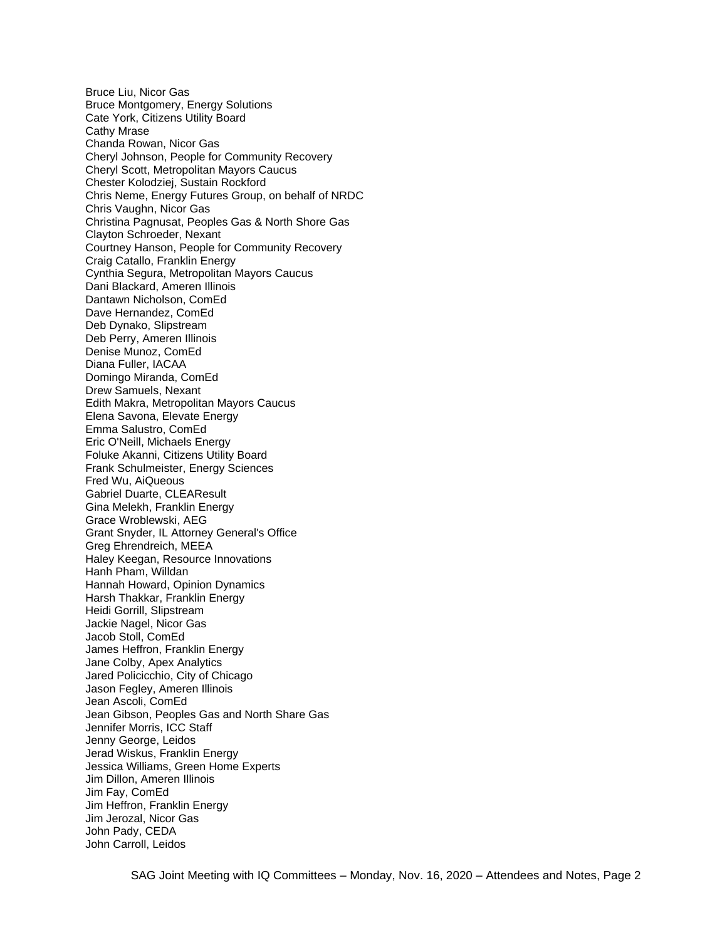Bruce Liu, Nicor Gas Bruce Montgomery, Energy Solutions Cate York, Citizens Utility Board Cathy Mrase Chanda Rowan, Nicor Gas Cheryl Johnson, People for Community Recovery Cheryl Scott, Metropolitan Mayors Caucus Chester Kolodziej, Sustain Rockford Chris Neme, Energy Futures Group, on behalf of NRDC Chris Vaughn, Nicor Gas Christina Pagnusat, Peoples Gas & North Shore Gas Clayton Schroeder, Nexant Courtney Hanson, People for Community Recovery Craig Catallo, Franklin Energy Cynthia Segura, Metropolitan Mayors Caucus Dani Blackard, Ameren Illinois Dantawn Nicholson, ComEd Dave Hernandez, ComEd Deb Dynako, Slipstream Deb Perry, Ameren Illinois Denise Munoz, ComEd Diana Fuller, IACAA Domingo Miranda, ComEd Drew Samuels, Nexant Edith Makra, Metropolitan Mayors Caucus Elena Savona, Elevate Energy Emma Salustro, ComEd Eric O'Neill, Michaels Energy Foluke Akanni, Citizens Utility Board Frank Schulmeister, Energy Sciences Fred Wu, AiQueous Gabriel Duarte, CLEAResult Gina Melekh, Franklin Energy Grace Wroblewski, AEG Grant Snyder, IL Attorney General's Office Greg Ehrendreich, MEEA Haley Keegan, Resource Innovations Hanh Pham, Willdan Hannah Howard, Opinion Dynamics Harsh Thakkar, Franklin Energy Heidi Gorrill, Slipstream Jackie Nagel, Nicor Gas Jacob Stoll, ComEd James Heffron, Franklin Energy Jane Colby, Apex Analytics Jared Policicchio, City of Chicago Jason Fegley, Ameren Illinois Jean Ascoli, ComEd Jean Gibson, Peoples Gas and North Share Gas Jennifer Morris, ICC Staff Jenny George, Leidos Jerad Wiskus, Franklin Energy Jessica Williams, Green Home Experts Jim Dillon, Ameren Illinois Jim Fay, ComEd Jim Heffron, Franklin Energy Jim Jerozal, Nicor Gas John Pady, CEDA John Carroll, Leidos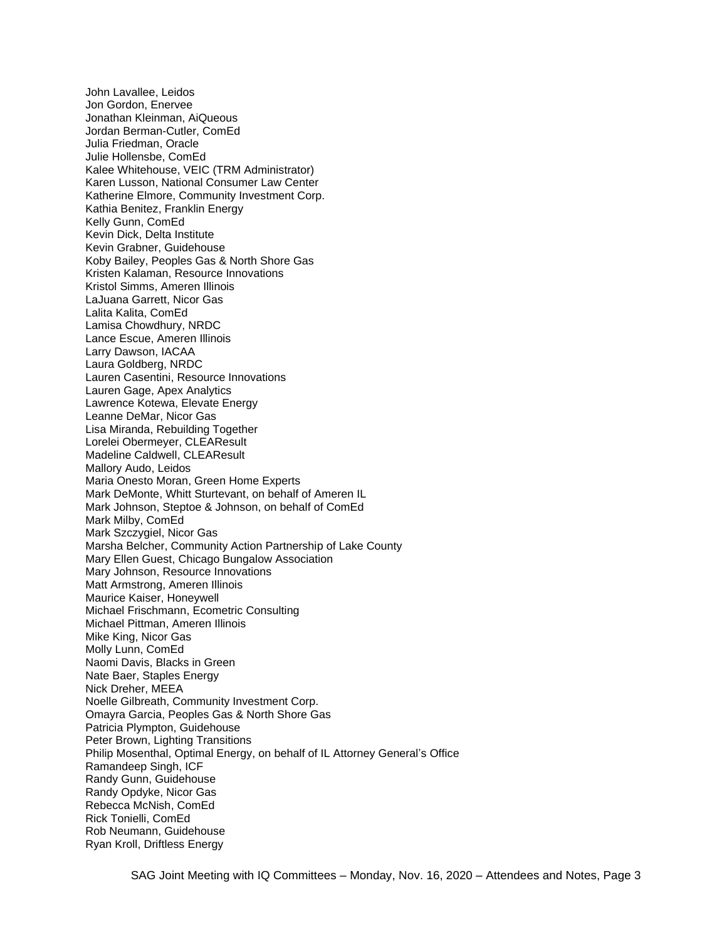John Lavallee, Leidos Jon Gordon, Enervee Jonathan Kleinman, AiQueous Jordan Berman-Cutler, ComEd Julia Friedman, Oracle Julie Hollensbe, ComEd Kalee Whitehouse, VEIC (TRM Administrator) Karen Lusson, National Consumer Law Center Katherine Elmore, Community Investment Corp. Kathia Benitez, Franklin Energy Kelly Gunn, ComEd Kevin Dick, Delta Institute Kevin Grabner, Guidehouse Koby Bailey, Peoples Gas & North Shore Gas Kristen Kalaman, Resource Innovations Kristol Simms, Ameren Illinois LaJuana Garrett, Nicor Gas Lalita Kalita, ComEd Lamisa Chowdhury, NRDC Lance Escue, Ameren Illinois Larry Dawson, IACAA Laura Goldberg, NRDC Lauren Casentini, Resource Innovations Lauren Gage, Apex Analytics Lawrence Kotewa, Elevate Energy Leanne DeMar, Nicor Gas Lisa Miranda, Rebuilding Together Lorelei Obermeyer, CLEAResult Madeline Caldwell, CLEAResult Mallory Audo, Leidos Maria Onesto Moran, Green Home Experts Mark DeMonte, Whitt Sturtevant, on behalf of Ameren IL Mark Johnson, Steptoe & Johnson, on behalf of ComEd Mark Milby, ComEd Mark Szczygiel, Nicor Gas Marsha Belcher, Community Action Partnership of Lake County Mary Ellen Guest, Chicago Bungalow Association Mary Johnson, Resource Innovations Matt Armstrong, Ameren Illinois Maurice Kaiser, Honeywell Michael Frischmann, Ecometric Consulting Michael Pittman, Ameren Illinois Mike King, Nicor Gas Molly Lunn, ComEd Naomi Davis, Blacks in Green Nate Baer, Staples Energy Nick Dreher, MEEA Noelle Gilbreath, Community Investment Corp. Omayra Garcia, Peoples Gas & North Shore Gas Patricia Plympton, Guidehouse Peter Brown, Lighting Transitions Philip Mosenthal, Optimal Energy, on behalf of IL Attorney General's Office Ramandeep Singh, ICF Randy Gunn, Guidehouse Randy Opdyke, Nicor Gas Rebecca McNish, ComEd Rick Tonielli, ComEd Rob Neumann, Guidehouse Ryan Kroll, Driftless Energy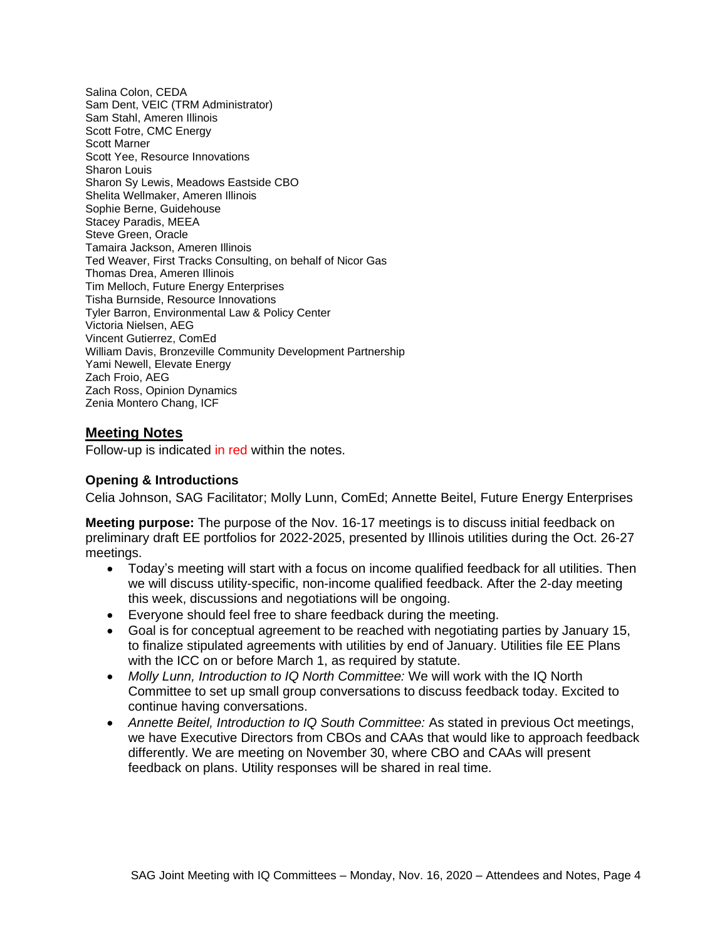Salina Colon, CEDA Sam Dent, VEIC (TRM Administrator) Sam Stahl, Ameren Illinois Scott Fotre, CMC Energy Scott Marner Scott Yee, Resource Innovations Sharon Louis Sharon Sy Lewis, Meadows Eastside CBO Shelita Wellmaker, Ameren Illinois Sophie Berne, Guidehouse Stacey Paradis, MEEA Steve Green, Oracle Tamaira Jackson, Ameren Illinois Ted Weaver, First Tracks Consulting, on behalf of Nicor Gas Thomas Drea, Ameren Illinois Tim Melloch, Future Energy Enterprises Tisha Burnside, Resource Innovations Tyler Barron, Environmental Law & Policy Center Victoria Nielsen, AEG Vincent Gutierrez, ComEd William Davis, Bronzeville Community Development Partnership Yami Newell, Elevate Energy Zach Froio, AEG Zach Ross, Opinion Dynamics Zenia Montero Chang, ICF

#### **Meeting Notes**

Follow-up is indicated in red within the notes.

#### **Opening & Introductions**

Celia Johnson, SAG Facilitator; Molly Lunn, ComEd; Annette Beitel, Future Energy Enterprises

**Meeting purpose:** The purpose of the Nov. 16-17 meetings is to discuss initial feedback on preliminary draft EE portfolios for 2022-2025, presented by Illinois utilities during the Oct. 26-27 meetings.

- Today's meeting will start with a focus on income qualified feedback for all utilities. Then we will discuss utility-specific, non-income qualified feedback. After the 2-day meeting this week, discussions and negotiations will be ongoing.
- Everyone should feel free to share feedback during the meeting.
- Goal is for conceptual agreement to be reached with negotiating parties by January 15, to finalize stipulated agreements with utilities by end of January. Utilities file EE Plans with the ICC on or before March 1, as required by statute.
- *Molly Lunn, Introduction to IQ North Committee:* We will work with the IQ North Committee to set up small group conversations to discuss feedback today. Excited to continue having conversations.
- *Annette Beitel, Introduction to IQ South Committee:* As stated in previous Oct meetings, we have Executive Directors from CBOs and CAAs that would like to approach feedback differently. We are meeting on November 30, where CBO and CAAs will present feedback on plans. Utility responses will be shared in real time.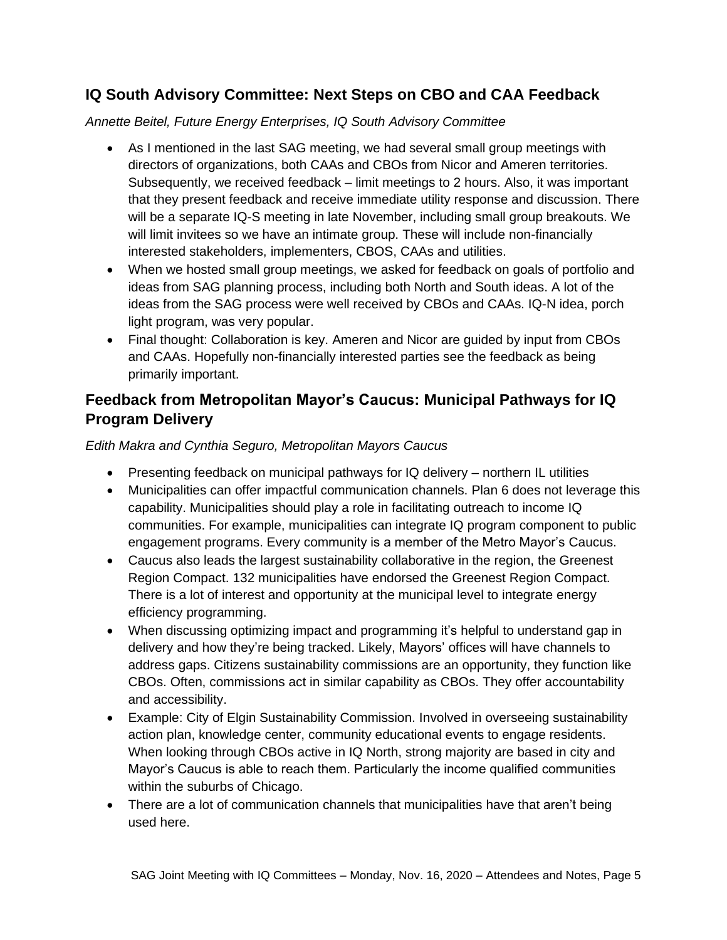## **IQ South Advisory Committee: Next Steps on CBO and CAA Feedback**

## *Annette Beitel, Future Energy Enterprises, IQ South Advisory Committee*

- As I mentioned in the last SAG meeting, we had several small group meetings with directors of organizations, both CAAs and CBOs from Nicor and Ameren territories. Subsequently, we received feedback – limit meetings to 2 hours. Also, it was important that they present feedback and receive immediate utility response and discussion. There will be a separate IQ-S meeting in late November, including small group breakouts. We will limit invitees so we have an intimate group. These will include non-financially interested stakeholders, implementers, CBOS, CAAs and utilities.
- When we hosted small group meetings, we asked for feedback on goals of portfolio and ideas from SAG planning process, including both North and South ideas. A lot of the ideas from the SAG process were well received by CBOs and CAAs. IQ-N idea, porch light program, was very popular.
- Final thought: Collaboration is key. Ameren and Nicor are guided by input from CBOs and CAAs. Hopefully non-financially interested parties see the feedback as being primarily important.

## **Feedback from Metropolitan Mayor's Caucus: Municipal Pathways for IQ Program Delivery**

## *Edith Makra and Cynthia Seguro, Metropolitan Mayors Caucus*

- Presenting feedback on municipal pathways for IQ delivery northern IL utilities
- Municipalities can offer impactful communication channels. Plan 6 does not leverage this capability. Municipalities should play a role in facilitating outreach to income IQ communities. For example, municipalities can integrate IQ program component to public engagement programs. Every community is a member of the Metro Mayor's Caucus.
- Caucus also leads the largest sustainability collaborative in the region, the Greenest Region Compact. 132 municipalities have endorsed the Greenest Region Compact. There is a lot of interest and opportunity at the municipal level to integrate energy efficiency programming.
- When discussing optimizing impact and programming it's helpful to understand gap in delivery and how they're being tracked. Likely, Mayors' offices will have channels to address gaps. Citizens sustainability commissions are an opportunity, they function like CBOs. Often, commissions act in similar capability as CBOs. They offer accountability and accessibility.
- Example: City of Elgin Sustainability Commission. Involved in overseeing sustainability action plan, knowledge center, community educational events to engage residents. When looking through CBOs active in IQ North, strong majority are based in city and Mayor's Caucus is able to reach them. Particularly the income qualified communities within the suburbs of Chicago.
- There are a lot of communication channels that municipalities have that aren't being used here.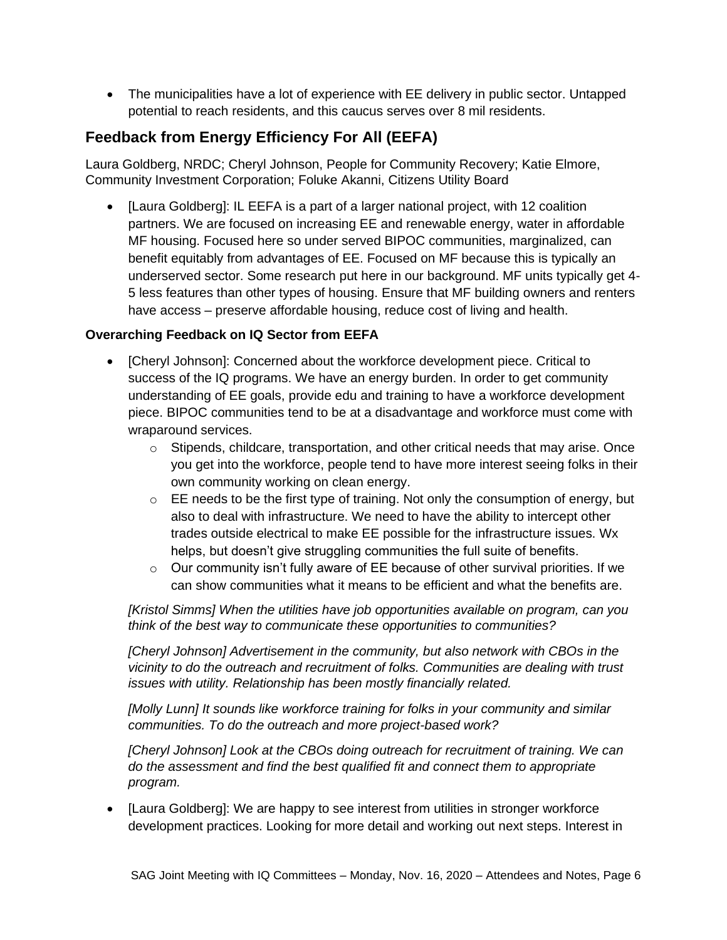• The municipalities have a lot of experience with EE delivery in public sector. Untapped potential to reach residents, and this caucus serves over 8 mil residents.

# **Feedback from Energy Efficiency For All (EEFA)**

Laura Goldberg, NRDC; Cheryl Johnson, People for Community Recovery; Katie Elmore, Community Investment Corporation; Foluke Akanni, Citizens Utility Board

• [Laura Goldberg]: IL EEFA is a part of a larger national project, with 12 coalition partners. We are focused on increasing EE and renewable energy, water in affordable MF housing. Focused here so under served BIPOC communities, marginalized, can benefit equitably from advantages of EE. Focused on MF because this is typically an underserved sector. Some research put here in our background. MF units typically get 4- 5 less features than other types of housing. Ensure that MF building owners and renters have access – preserve affordable housing, reduce cost of living and health.

## **Overarching Feedback on IQ Sector from EEFA**

- [Cheryl Johnson]: Concerned about the workforce development piece. Critical to success of the IQ programs. We have an energy burden. In order to get community understanding of EE goals, provide edu and training to have a workforce development piece. BIPOC communities tend to be at a disadvantage and workforce must come with wraparound services.
	- $\circ$  Stipends, childcare, transportation, and other critical needs that may arise. Once you get into the workforce, people tend to have more interest seeing folks in their own community working on clean energy.
	- $\circ$  EE needs to be the first type of training. Not only the consumption of energy, but also to deal with infrastructure. We need to have the ability to intercept other trades outside electrical to make EE possible for the infrastructure issues. Wx helps, but doesn't give struggling communities the full suite of benefits.
	- o Our community isn't fully aware of EE because of other survival priorities. If we can show communities what it means to be efficient and what the benefits are.

*[Kristol Simms] When the utilities have job opportunities available on program, can you think of the best way to communicate these opportunities to communities?*

*[Cheryl Johnson] Advertisement in the community, but also network with CBOs in the vicinity to do the outreach and recruitment of folks. Communities are dealing with trust issues with utility. Relationship has been mostly financially related.*

*[Molly Lunn] It sounds like workforce training for folks in your community and similar communities. To do the outreach and more project-based work?*

*[Cheryl Johnson] Look at the CBOs doing outreach for recruitment of training. We can do the assessment and find the best qualified fit and connect them to appropriate program.* 

• [Laura Goldberg]: We are happy to see interest from utilities in stronger workforce development practices. Looking for more detail and working out next steps. Interest in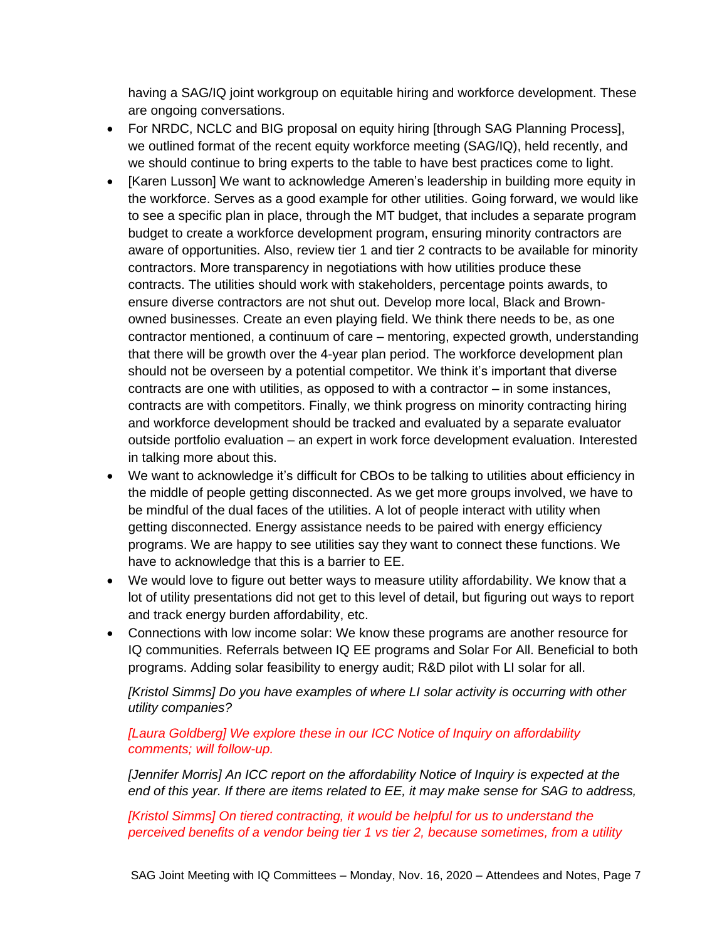having a SAG/IQ joint workgroup on equitable hiring and workforce development. These are ongoing conversations.

- For NRDC, NCLC and BIG proposal on equity hiring [through SAG Planning Process], we outlined format of the recent equity workforce meeting (SAG/IQ), held recently, and we should continue to bring experts to the table to have best practices come to light.
- [Karen Lusson] We want to acknowledge Ameren's leadership in building more equity in the workforce. Serves as a good example for other utilities. Going forward, we would like to see a specific plan in place, through the MT budget, that includes a separate program budget to create a workforce development program, ensuring minority contractors are aware of opportunities. Also, review tier 1 and tier 2 contracts to be available for minority contractors. More transparency in negotiations with how utilities produce these contracts. The utilities should work with stakeholders, percentage points awards, to ensure diverse contractors are not shut out. Develop more local, Black and Brownowned businesses. Create an even playing field. We think there needs to be, as one contractor mentioned, a continuum of care – mentoring, expected growth, understanding that there will be growth over the 4-year plan period. The workforce development plan should not be overseen by a potential competitor. We think it's important that diverse contracts are one with utilities, as opposed to with a contractor – in some instances, contracts are with competitors. Finally, we think progress on minority contracting hiring and workforce development should be tracked and evaluated by a separate evaluator outside portfolio evaluation – an expert in work force development evaluation. Interested in talking more about this.
- We want to acknowledge it's difficult for CBOs to be talking to utilities about efficiency in the middle of people getting disconnected. As we get more groups involved, we have to be mindful of the dual faces of the utilities. A lot of people interact with utility when getting disconnected. Energy assistance needs to be paired with energy efficiency programs. We are happy to see utilities say they want to connect these functions. We have to acknowledge that this is a barrier to EE.
- We would love to figure out better ways to measure utility affordability. We know that a lot of utility presentations did not get to this level of detail, but figuring out ways to report and track energy burden affordability, etc.
- Connections with low income solar: We know these programs are another resource for IQ communities. Referrals between IQ EE programs and Solar For All. Beneficial to both programs. Adding solar feasibility to energy audit; R&D pilot with LI solar for all.

*[Kristol Simms] Do you have examples of where LI solar activity is occurring with other utility companies?*

*[Laura Goldberg] We explore these in our ICC Notice of Inquiry on affordability comments; will follow-up.*

*[Jennifer Morris] An ICC report on the affordability Notice of Inquiry is expected at the end of this year. If there are items related to EE, it may make sense for SAG to address,*

*[Kristol Simms] On tiered contracting, it would be helpful for us to understand the perceived benefits of a vendor being tier 1 vs tier 2, because sometimes, from a utility*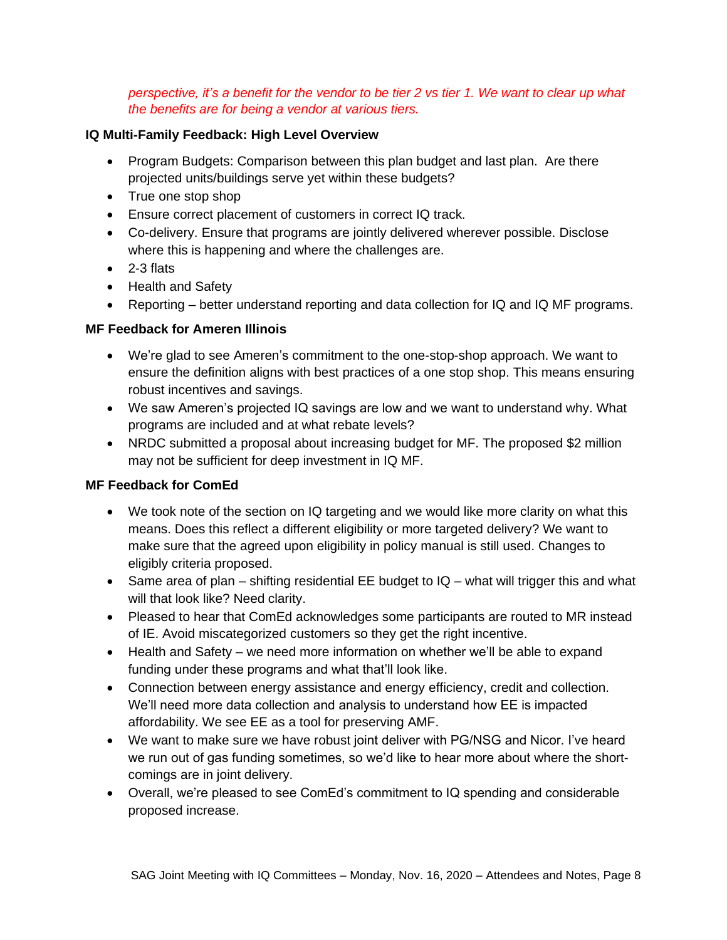*perspective, it's a benefit for the vendor to be tier 2 vs tier 1. We want to clear up what the benefits are for being a vendor at various tiers.* 

#### **IQ Multi-Family Feedback: High Level Overview**

- Program Budgets: Comparison between this plan budget and last plan. Are there projected units/buildings serve yet within these budgets?
- True one stop shop
- Ensure correct placement of customers in correct IQ track.
- Co-delivery. Ensure that programs are jointly delivered wherever possible. Disclose where this is happening and where the challenges are.
- 2-3 flats
- Health and Safety
- Reporting better understand reporting and data collection for IQ and IQ MF programs.

## **MF Feedback for Ameren Illinois**

- We're glad to see Ameren's commitment to the one-stop-shop approach. We want to ensure the definition aligns with best practices of a one stop shop. This means ensuring robust incentives and savings.
- We saw Ameren's projected IQ savings are low and we want to understand why. What programs are included and at what rebate levels?
- NRDC submitted a proposal about increasing budget for MF. The proposed \$2 million may not be sufficient for deep investment in IQ MF.

## **MF Feedback for ComEd**

- We took note of the section on IQ targeting and we would like more clarity on what this means. Does this reflect a different eligibility or more targeted delivery? We want to make sure that the agreed upon eligibility in policy manual is still used. Changes to eligibly criteria proposed.
- Same area of plan shifting residential EE budget to IQ what will trigger this and what will that look like? Need clarity.
- Pleased to hear that ComEd acknowledges some participants are routed to MR instead of IE. Avoid miscategorized customers so they get the right incentive.
- Health and Safety we need more information on whether we'll be able to expand funding under these programs and what that'll look like.
- Connection between energy assistance and energy efficiency, credit and collection. We'll need more data collection and analysis to understand how EE is impacted affordability. We see EE as a tool for preserving AMF.
- We want to make sure we have robust joint deliver with PG/NSG and Nicor. I've heard we run out of gas funding sometimes, so we'd like to hear more about where the shortcomings are in joint delivery.
- Overall, we're pleased to see ComEd's commitment to IQ spending and considerable proposed increase.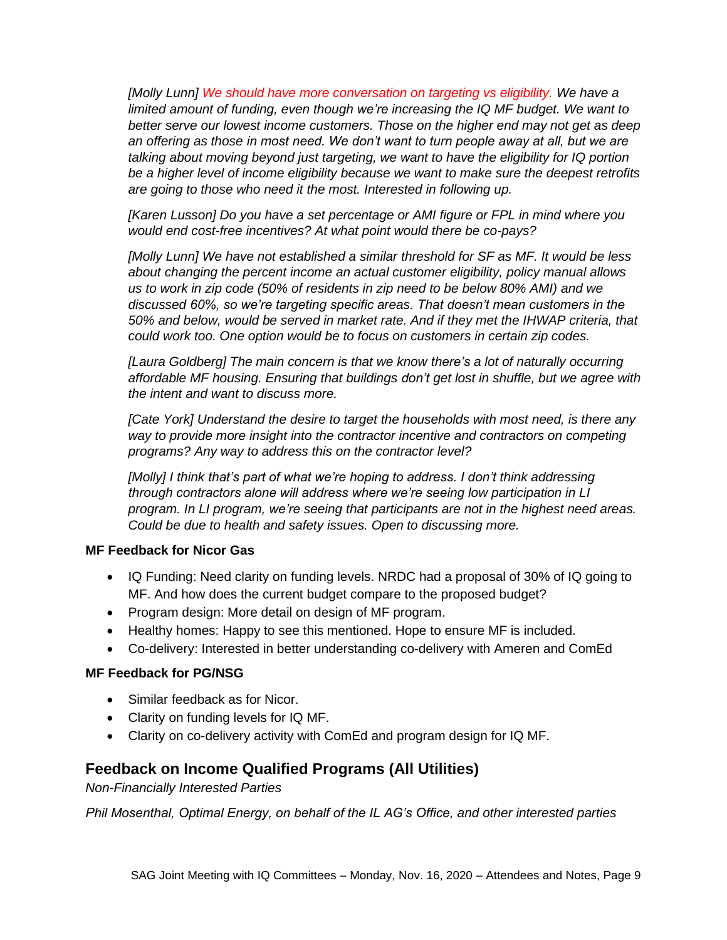*[Molly Lunn] We should have more conversation on targeting vs eligibility. We have a limited amount of funding, even though we're increasing the IQ MF budget. We want to better serve our lowest income customers. Those on the higher end may not get as deep an offering as those in most need. We don't want to turn people away at all, but we are talking about moving beyond just targeting, we want to have the eligibility for IQ portion be a higher level of income eligibility because we want to make sure the deepest retrofits are going to those who need it the most. Interested in following up.*

*[Karen Lusson] Do you have a set percentage or AMI figure or FPL in mind where you would end cost-free incentives? At what point would there be co-pays?*

*[Molly Lunn] We have not established a similar threshold for SF as MF. It would be less about changing the percent income an actual customer eligibility, policy manual allows us to work in zip code (50% of residents in zip need to be below 80% AMI) and we discussed 60%, so we're targeting specific areas. That doesn't mean customers in the 50% and below, would be served in market rate. And if they met the IHWAP criteria, that could work too. One option would be to focus on customers in certain zip codes.* 

*[Laura Goldberg] The main concern is that we know there's a lot of naturally occurring affordable MF housing. Ensuring that buildings don't get lost in shuffle, but we agree with the intent and want to discuss more.* 

*[Cate York] Understand the desire to target the households with most need, is there any way to provide more insight into the contractor incentive and contractors on competing programs? Any way to address this on the contractor level?*

*[Molly] I think that's part of what we're hoping to address. I don't think addressing through contractors alone will address where we're seeing low participation in LI program. In LI program, we're seeing that participants are not in the highest need areas. Could be due to health and safety issues. Open to discussing more.* 

#### **MF Feedback for Nicor Gas**

- IQ Funding: Need clarity on funding levels. NRDC had a proposal of 30% of IQ going to MF. And how does the current budget compare to the proposed budget?
- Program design: More detail on design of MF program.
- Healthy homes: Happy to see this mentioned. Hope to ensure MF is included.
- Co-delivery: Interested in better understanding co-delivery with Ameren and ComEd

#### **MF Feedback for PG/NSG**

- Similar feedback as for Nicor.
- Clarity on funding levels for IQ MF.
- Clarity on co-delivery activity with ComEd and program design for IQ MF.

## **Feedback on Income Qualified Programs (All Utilities)**

*Non-Financially Interested Parties*

*Phil Mosenthal, Optimal Energy, on behalf of the IL AG's Office, and other interested parties*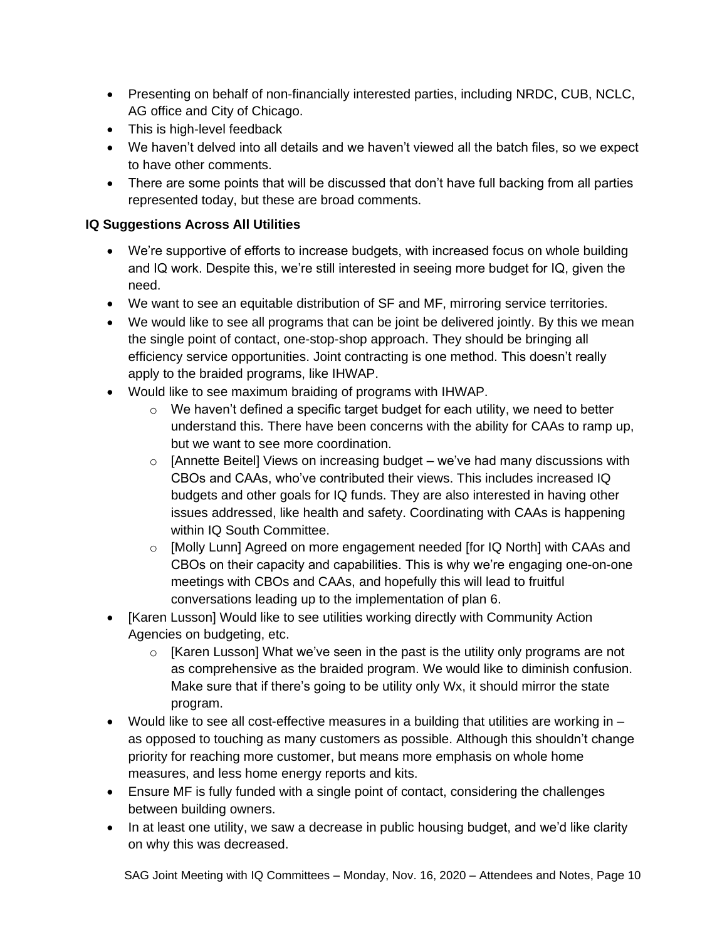- Presenting on behalf of non-financially interested parties, including NRDC, CUB, NCLC, AG office and City of Chicago.
- This is high-level feedback
- We haven't delved into all details and we haven't viewed all the batch files, so we expect to have other comments.
- There are some points that will be discussed that don't have full backing from all parties represented today, but these are broad comments.

## **IQ Suggestions Across All Utilities**

- We're supportive of efforts to increase budgets, with increased focus on whole building and IQ work. Despite this, we're still interested in seeing more budget for IQ, given the need.
- We want to see an equitable distribution of SF and MF, mirroring service territories.
- We would like to see all programs that can be joint be delivered jointly. By this we mean the single point of contact, one-stop-shop approach. They should be bringing all efficiency service opportunities. Joint contracting is one method. This doesn't really apply to the braided programs, like IHWAP.
- Would like to see maximum braiding of programs with IHWAP.
	- $\circ$  We haven't defined a specific target budget for each utility, we need to better understand this. There have been concerns with the ability for CAAs to ramp up, but we want to see more coordination.
	- $\circ$  [Annette Beitel] Views on increasing budget we've had many discussions with CBOs and CAAs, who've contributed their views. This includes increased IQ budgets and other goals for IQ funds. They are also interested in having other issues addressed, like health and safety. Coordinating with CAAs is happening within IQ South Committee.
	- $\circ$  [Molly Lunn] Agreed on more engagement needed [for IQ North] with CAAs and CBOs on their capacity and capabilities. This is why we're engaging one-on-one meetings with CBOs and CAAs, and hopefully this will lead to fruitful conversations leading up to the implementation of plan 6.
- [Karen Lusson] Would like to see utilities working directly with Community Action Agencies on budgeting, etc.
	- $\circ$  [Karen Lusson] What we've seen in the past is the utility only programs are not as comprehensive as the braided program. We would like to diminish confusion. Make sure that if there's going to be utility only Wx, it should mirror the state program.
- Would like to see all cost-effective measures in a building that utilities are working in  $$ as opposed to touching as many customers as possible. Although this shouldn't change priority for reaching more customer, but means more emphasis on whole home measures, and less home energy reports and kits.
- Ensure MF is fully funded with a single point of contact, considering the challenges between building owners.
- In at least one utility, we saw a decrease in public housing budget, and we'd like clarity on why this was decreased.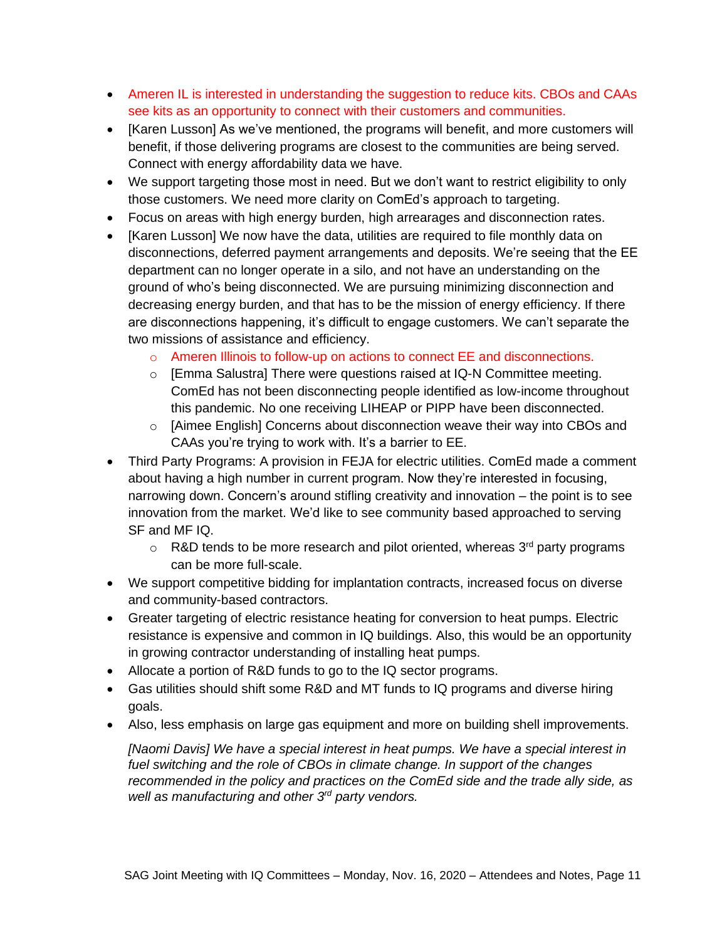- Ameren IL is interested in understanding the suggestion to reduce kits. CBOs and CAAs see kits as an opportunity to connect with their customers and communities.
- [Karen Lusson] As we've mentioned, the programs will benefit, and more customers will benefit, if those delivering programs are closest to the communities are being served. Connect with energy affordability data we have.
- We support targeting those most in need. But we don't want to restrict eligibility to only those customers. We need more clarity on ComEd's approach to targeting.
- Focus on areas with high energy burden, high arrearages and disconnection rates.
- [Karen Lusson] We now have the data, utilities are required to file monthly data on disconnections, deferred payment arrangements and deposits. We're seeing that the EE department can no longer operate in a silo, and not have an understanding on the ground of who's being disconnected. We are pursuing minimizing disconnection and decreasing energy burden, and that has to be the mission of energy efficiency. If there are disconnections happening, it's difficult to engage customers. We can't separate the two missions of assistance and efficiency.
	- o Ameren Illinois to follow-up on actions to connect EE and disconnections.
	- $\circ$  [Emma Salustra] There were questions raised at IQ-N Committee meeting. ComEd has not been disconnecting people identified as low-income throughout this pandemic. No one receiving LIHEAP or PIPP have been disconnected.
	- o [Aimee English] Concerns about disconnection weave their way into CBOs and CAAs you're trying to work with. It's a barrier to EE.
- Third Party Programs: A provision in FEJA for electric utilities. ComEd made a comment about having a high number in current program. Now they're interested in focusing, narrowing down. Concern's around stifling creativity and innovation – the point is to see innovation from the market. We'd like to see community based approached to serving SF and MF IQ.
	- $\circ$  R&D tends to be more research and pilot oriented, whereas 3<sup>rd</sup> party programs can be more full-scale.
- We support competitive bidding for implantation contracts, increased focus on diverse and community-based contractors.
- Greater targeting of electric resistance heating for conversion to heat pumps. Electric resistance is expensive and common in IQ buildings. Also, this would be an opportunity in growing contractor understanding of installing heat pumps.
- Allocate a portion of R&D funds to go to the IQ sector programs.
- Gas utilities should shift some R&D and MT funds to IQ programs and diverse hiring goals.
- Also, less emphasis on large gas equipment and more on building shell improvements.

*[Naomi Davis] We have a special interest in heat pumps. We have a special interest in fuel switching and the role of CBOs in climate change. In support of the changes recommended in the policy and practices on the ComEd side and the trade ally side, as well as manufacturing and other 3rd party vendors.*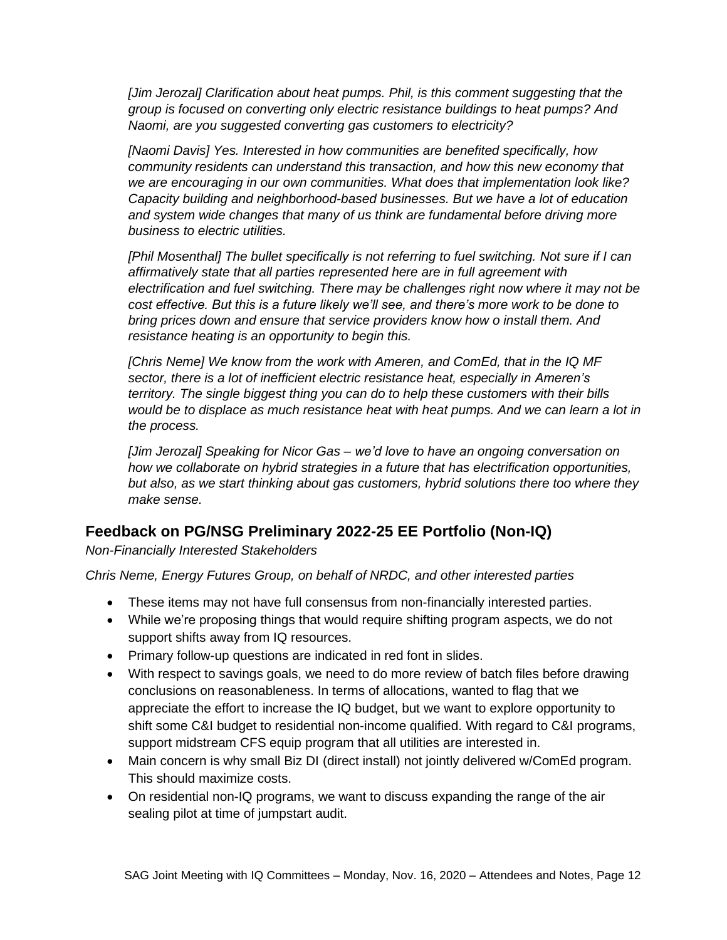*[Jim Jerozal] Clarification about heat pumps. Phil, is this comment suggesting that the group is focused on converting only electric resistance buildings to heat pumps? And Naomi, are you suggested converting gas customers to electricity?*

*[Naomi Davis] Yes. Interested in how communities are benefited specifically, how community residents can understand this transaction, and how this new economy that we are encouraging in our own communities. What does that implementation look like? Capacity building and neighborhood-based businesses. But we have a lot of education and system wide changes that many of us think are fundamental before driving more business to electric utilities.* 

*[Phil Mosenthal] The bullet specifically is not referring to fuel switching. Not sure if I can affirmatively state that all parties represented here are in full agreement with electrification and fuel switching. There may be challenges right now where it may not be cost effective. But this is a future likely we'll see, and there's more work to be done to bring prices down and ensure that service providers know how o install them. And resistance heating is an opportunity to begin this.* 

*[Chris Neme] We know from the work with Ameren, and ComEd, that in the IQ MF sector, there is a lot of inefficient electric resistance heat, especially in Ameren's territory. The single biggest thing you can do to help these customers with their bills would be to displace as much resistance heat with heat pumps. And we can learn a lot in the process.* 

*[Jim Jerozal] Speaking for Nicor Gas – we'd love to have an ongoing conversation on how we collaborate on hybrid strategies in a future that has electrification opportunities, but also, as we start thinking about gas customers, hybrid solutions there too where they make sense.* 

## **Feedback on PG/NSG Preliminary 2022-25 EE Portfolio (Non-IQ)**

*Non-Financially Interested Stakeholders*

*Chris Neme, Energy Futures Group, on behalf of NRDC, and other interested parties*

- These items may not have full consensus from non-financially interested parties.
- While we're proposing things that would require shifting program aspects, we do not support shifts away from IQ resources.
- Primary follow-up questions are indicated in red font in slides.
- With respect to savings goals, we need to do more review of batch files before drawing conclusions on reasonableness. In terms of allocations, wanted to flag that we appreciate the effort to increase the IQ budget, but we want to explore opportunity to shift some C&I budget to residential non-income qualified. With regard to C&I programs, support midstream CFS equip program that all utilities are interested in.
- Main concern is why small Biz DI (direct install) not jointly delivered w/ComEd program. This should maximize costs.
- On residential non-IQ programs, we want to discuss expanding the range of the air sealing pilot at time of jumpstart audit.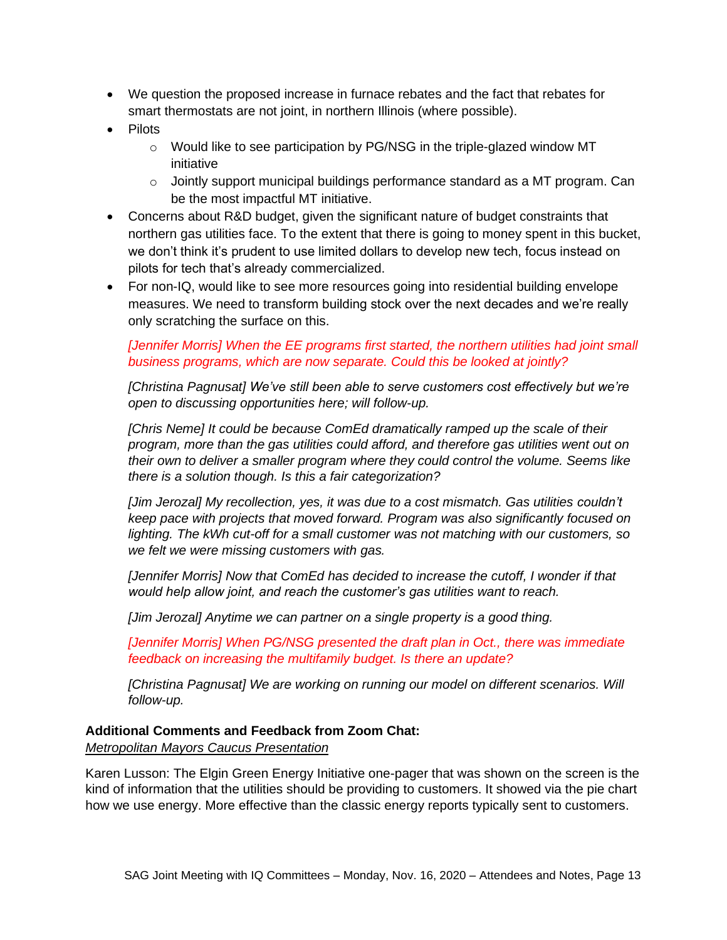- We question the proposed increase in furnace rebates and the fact that rebates for smart thermostats are not joint, in northern Illinois (where possible).
- Pilots
	- $\circ$  Would like to see participation by PG/NSG in the triple-glazed window MT initiative
	- $\circ$  Jointly support municipal buildings performance standard as a MT program. Can be the most impactful MT initiative.
- Concerns about R&D budget, given the significant nature of budget constraints that northern gas utilities face. To the extent that there is going to money spent in this bucket, we don't think it's prudent to use limited dollars to develop new tech, focus instead on pilots for tech that's already commercialized.
- For non-IQ, would like to see more resources going into residential building envelope measures. We need to transform building stock over the next decades and we're really only scratching the surface on this.

#### *[Jennifer Morris] When the EE programs first started, the northern utilities had joint small business programs, which are now separate. Could this be looked at jointly?*

*[Christina Pagnusat] We've still been able to serve customers cost effectively but we're open to discussing opportunities here; will follow-up.*

*[Chris Neme] It could be because ComEd dramatically ramped up the scale of their program, more than the gas utilities could afford, and therefore gas utilities went out on their own to deliver a smaller program where they could control the volume. Seems like there is a solution though. Is this a fair categorization?*

*[Jim Jerozal] My recollection, yes, it was due to a cost mismatch. Gas utilities couldn't keep pace with projects that moved forward. Program was also significantly focused on lighting. The kWh cut-off for a small customer was not matching with our customers, so we felt we were missing customers with gas.*

*[Jennifer Morris] Now that ComEd has decided to increase the cutoff, I wonder if that would help allow joint, and reach the customer's gas utilities want to reach.* 

*[Jim Jerozal] Anytime we can partner on a single property is a good thing.*

*[Jennifer Morris] When PG/NSG presented the draft plan in Oct., there was immediate feedback on increasing the multifamily budget. Is there an update?*

*[Christina Pagnusat] We are working on running our model on different scenarios. Will follow-up.*

#### **Additional Comments and Feedback from Zoom Chat:**

*Metropolitan Mayors Caucus Presentation*

Karen Lusson: The Elgin Green Energy Initiative one-pager that was shown on the screen is the kind of information that the utilities should be providing to customers. It showed via the pie chart how we use energy. More effective than the classic energy reports typically sent to customers.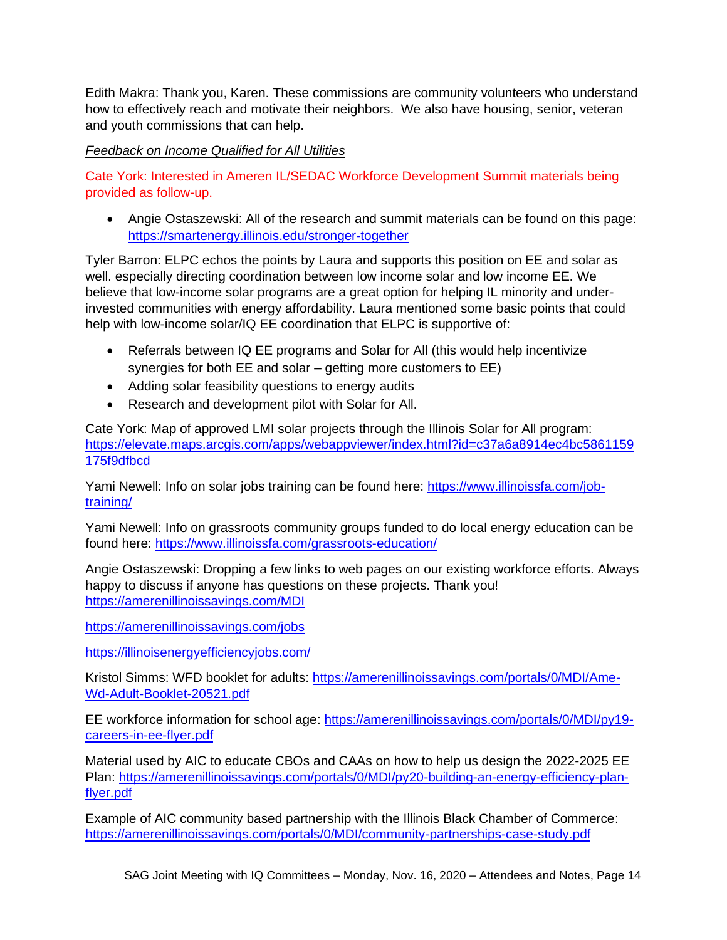Edith Makra: Thank you, Karen. These commissions are community volunteers who understand how to effectively reach and motivate their neighbors. We also have housing, senior, veteran and youth commissions that can help.

*Feedback on Income Qualified for All Utilities*

Cate York: Interested in Ameren IL/SEDAC Workforce Development Summit materials being provided as follow-up.

• Angie Ostaszewski: All of the research and summit materials can be found on this page: <https://smartenergy.illinois.edu/stronger-together>

Tyler Barron: ELPC echos the points by Laura and supports this position on EE and solar as well. especially directing coordination between low income solar and low income EE. We believe that low-income solar programs are a great option for helping IL minority and underinvested communities with energy affordability. Laura mentioned some basic points that could help with low-income solar/IQ EE coordination that ELPC is supportive of:

- Referrals between IQ EE programs and Solar for All (this would help incentivize synergies for both EE and solar – getting more customers to EE)
- Adding solar feasibility questions to energy audits
- Research and development pilot with Solar for All.

Cate York: Map of approved LMI solar projects through the Illinois Solar for All program: [https://elevate.maps.arcgis.com/apps/webappviewer/index.html?id=c37a6a8914ec4bc5861159](https://elevate.maps.arcgis.com/apps/webappviewer/index.html?id=c37a6a8914ec4bc5861159175f9dfbcd) [175f9dfbcd](https://elevate.maps.arcgis.com/apps/webappviewer/index.html?id=c37a6a8914ec4bc5861159175f9dfbcd)

Yami Newell: Info on solar jobs training can be found here: [https://www.illinoissfa.com/job](https://www.illinoissfa.com/job-training/)[training/](https://www.illinoissfa.com/job-training/)

Yami Newell: Info on grassroots community groups funded to do local energy education can be found here:<https://www.illinoissfa.com/grassroots-education/>

Angie Ostaszewski: Dropping a few links to web pages on our existing workforce efforts. Always happy to discuss if anyone has questions on these projects. Thank you! <https://amerenillinoissavings.com/MDI>

<https://amerenillinoissavings.com/jobs>

<https://illinoisenergyefficiencyjobs.com/>

Kristol Simms: WFD booklet for adults: [https://amerenillinoissavings.com/portals/0/MDI/Ame-](https://amerenillinoissavings.com/portals/0/MDI/Ame-Wd-Adult-Booklet-20521.pdf)[Wd-Adult-Booklet-20521.pdf](https://amerenillinoissavings.com/portals/0/MDI/Ame-Wd-Adult-Booklet-20521.pdf)

EE workforce information for school age: [https://amerenillinoissavings.com/portals/0/MDI/py19](https://amerenillinoissavings.com/portals/0/MDI/py19-careers-in-ee-flyer.pdf) [careers-in-ee-flyer.pdf](https://amerenillinoissavings.com/portals/0/MDI/py19-careers-in-ee-flyer.pdf)

Material used by AIC to educate CBOs and CAAs on how to help us design the 2022-2025 EE Plan: [https://amerenillinoissavings.com/portals/0/MDI/py20-building-an-energy-efficiency-plan](https://amerenillinoissavings.com/portals/0/MDI/py20-building-an-energy-efficiency-plan-flyer.pdf)[flyer.pdf](https://amerenillinoissavings.com/portals/0/MDI/py20-building-an-energy-efficiency-plan-flyer.pdf)

Example of AIC community based partnership with the Illinois Black Chamber of Commerce: <https://amerenillinoissavings.com/portals/0/MDI/community-partnerships-case-study.pdf>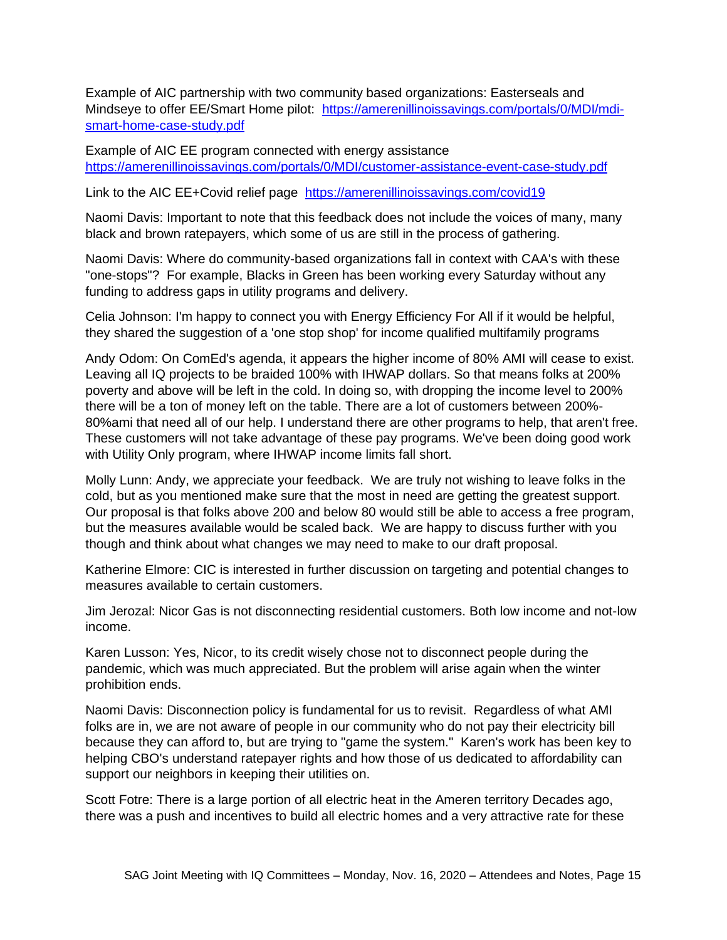Example of AIC partnership with two community based organizations: Easterseals and Mindseye to offer EE/Smart Home pilot: [https://amerenillinoissavings.com/portals/0/MDI/mdi](https://amerenillinoissavings.com/portals/0/MDI/mdi-smart-home-case-study.pdf)[smart-home-case-study.pdf](https://amerenillinoissavings.com/portals/0/MDI/mdi-smart-home-case-study.pdf)

Example of AIC EE program connected with energy assistance <https://amerenillinoissavings.com/portals/0/MDI/customer-assistance-event-case-study.pdf>

Link to the AIC EE+Covid relief page <https://amerenillinoissavings.com/covid19>

Naomi Davis: Important to note that this feedback does not include the voices of many, many black and brown ratepayers, which some of us are still in the process of gathering.

Naomi Davis: Where do community-based organizations fall in context with CAA's with these "one-stops"? For example, Blacks in Green has been working every Saturday without any funding to address gaps in utility programs and delivery.

Celia Johnson: I'm happy to connect you with Energy Efficiency For All if it would be helpful, they shared the suggestion of a 'one stop shop' for income qualified multifamily programs

Andy Odom: On ComEd's agenda, it appears the higher income of 80% AMI will cease to exist. Leaving all IQ projects to be braided 100% with IHWAP dollars. So that means folks at 200% poverty and above will be left in the cold. In doing so, with dropping the income level to 200% there will be a ton of money left on the table. There are a lot of customers between 200%- 80%ami that need all of our help. I understand there are other programs to help, that aren't free. These customers will not take advantage of these pay programs. We've been doing good work with Utility Only program, where IHWAP income limits fall short.

Molly Lunn: Andy, we appreciate your feedback. We are truly not wishing to leave folks in the cold, but as you mentioned make sure that the most in need are getting the greatest support. Our proposal is that folks above 200 and below 80 would still be able to access a free program, but the measures available would be scaled back. We are happy to discuss further with you though and think about what changes we may need to make to our draft proposal.

Katherine Elmore: CIC is interested in further discussion on targeting and potential changes to measures available to certain customers.

Jim Jerozal: Nicor Gas is not disconnecting residential customers. Both low income and not-low income.

Karen Lusson: Yes, Nicor, to its credit wisely chose not to disconnect people during the pandemic, which was much appreciated. But the problem will arise again when the winter prohibition ends.

Naomi Davis: Disconnection policy is fundamental for us to revisit. Regardless of what AMI folks are in, we are not aware of people in our community who do not pay their electricity bill because they can afford to, but are trying to "game the system." Karen's work has been key to helping CBO's understand ratepayer rights and how those of us dedicated to affordability can support our neighbors in keeping their utilities on.

Scott Fotre: There is a large portion of all electric heat in the Ameren territory Decades ago, there was a push and incentives to build all electric homes and a very attractive rate for these